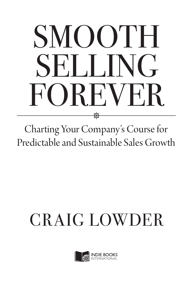# SMOOTH SELLING REVEL ⊛

Charting Your Company's Course for Predictable and Sustainable Sales Growth

# CRAIG LOWDER

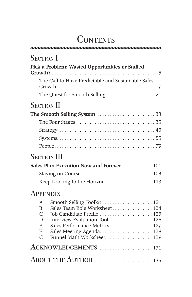# **CONTENTS**

| <b>SECTION</b> I                                                                                                                                                                                                                          |
|-------------------------------------------------------------------------------------------------------------------------------------------------------------------------------------------------------------------------------------------|
| Pick a Problem: Wasted Opportunities or Stalled                                                                                                                                                                                           |
| The Call to Have Predictable and Sustainable Sales                                                                                                                                                                                        |
|                                                                                                                                                                                                                                           |
| <b>SECTION II</b>                                                                                                                                                                                                                         |
|                                                                                                                                                                                                                                           |
|                                                                                                                                                                                                                                           |
|                                                                                                                                                                                                                                           |
|                                                                                                                                                                                                                                           |
|                                                                                                                                                                                                                                           |
| <b>SECTION III</b>                                                                                                                                                                                                                        |
| Sales Plan Execution Now and Forever  101                                                                                                                                                                                                 |
|                                                                                                                                                                                                                                           |
| Keep Looking to the Horizon113                                                                                                                                                                                                            |
| <b>APPENDIX</b>                                                                                                                                                                                                                           |
| Smooth Selling Toolkit  121<br>A<br>Sales Team Role Worksheet124<br>B<br>Job Candidate Profile  125<br>$\mathcal{C}$<br>Interview Evaluation Tool  126<br>D<br>Sales Performance Metrics 127<br>E<br>F<br>Funnel Math Worksheet. 129<br>G |
| ACKNOWLEDGEMENTS131                                                                                                                                                                                                                       |
|                                                                                                                                                                                                                                           |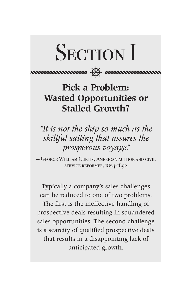

sunnamanan <del>(1).</del> sunnamanan

Pick a Problem: Wasted Opportunities or Stalled Growth?

*"It is not the ship so much as the skillful sailing that assures the prosperous voyage."*

— George William Curtis, American author and civil service reformer, 1824-1892

Typically a company's sales challenges can be reduced to one of two problems. The first is the ineffective handling of prospective deals resulting in squandered sales opportunities. The second challenge is a scarcity of qualified prospective deals that results in a disappointing lack of anticipated growth.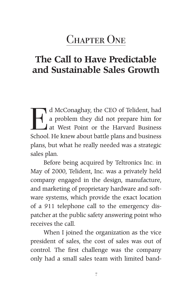# The Call to Have Predictable and Sustainable Sales Growth

d McConaghay, the CEO of Telident, had<br>a problem they did not prepare him for<br>at West Point or the Harvard Business<br>School He know about battle plans and business a problem they did not prepare him for at West Point or the Harvard Business School. He knew about battle plans and business plans, but what he really needed was a strategic sales plan.

Before being acquired by Teltronics Inc. in May of 2000, Telident, Inc. was a privately held company engaged in the design, manufacture, and marketing of proprietary hardware and software systems, which provide the exact location of a 911 telephone call to the emergency dispatcher at the public safety answering point who receives the call.

When I joined the organization as the vice president of sales, the cost of sales was out of control. The first challenge was the company only had a small sales team with limited band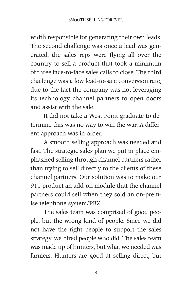width responsible for generating their own leads. The second challenge was once a lead was generated, the sales reps were flying all over the country to sell a product that took a minimum of three face-to-face sales calls to close. The third challenge was a low lead-to-sale conversion rate, due to the fact the company was not leveraging its technology channel partners to open doors and assist with the sale.

It did not take a West Point graduate to determine this was no way to win the war. A different approach was in order.

A smooth selling approach was needed and fast. The strategic sales plan we put in place emphasized selling through channel partners rather than trying to sell directly to the clients of these channel partners. Our solution was to make our 911 product an add-on module that the channel partners could sell when they sold an on-premise telephone system/PBX.

The sales team was comprised of good people, but the wrong kind of people. Since we did not have the right people to support the sales strategy, we hired people who did. The sales team was made up of hunters, but what we needed was farmers. Hunters are good at selling direct, but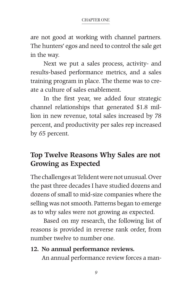are not good at working with channel partners. The hunters' egos and need to control the sale get in the way.

Next we put a sales process, activity- and results-based performance metrics, and a sales training program in place. The theme was to create a culture of sales enablement.

In the first year, we added four strategic channel relationships that generated \$1.8 million in new revenue, total sales increased by 78 percent, and productivity per sales rep increased by 65 percent.

## Top Twelve Reasons Why Sales are not Growing as Expected

The challenges at Telident were not unusual. Over the past three decades I have studied dozens and dozens of small to mid-size companies where the selling was not smooth. Patterns began to emerge as to why sales were not growing as expected.

Based on my research, the following list of reasons is provided in reverse rank order, from number twelve to number one.

#### 12. No annual performance reviews.

An annual performance review forces a man-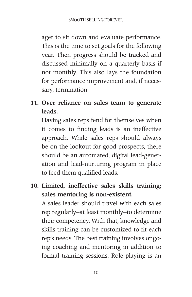ager to sit down and evaluate performance. This is the time to set goals for the following year. Then progress should be tracked and discussed minimally on a quarterly basis if not monthly. This also lays the foundation for performance improvement and, if necessary, termination.

11. Over reliance on sales team to generate leads.

Having sales reps fend for themselves when it comes to finding leads is an ineffective approach. While sales reps should always be on the lookout for good prospects, there should be an automated, digital lead-generation and lead-nurturing program in place to feed them qualified leads.

10. Limited, ineffective sales skills training; sales mentoring is non-existent.

A sales leader should travel with each sales rep regularly–at least monthly–to determine their competency. With that, knowledge and skills training can be customized to fit each rep's needs. The best training involves ongoing coaching and mentoring in addition to formal training sessions. Role-playing is an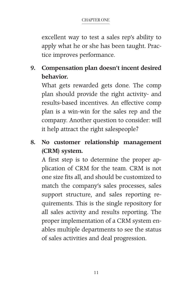excellent way to test a sales rep's ability to apply what he or she has been taught. Practice improves performance.

9. Compensation plan doesn't incent desired behavior.

What gets rewarded gets done. The comp plan should provide the right activity- and results-based incentives. An effective comp plan is a win-win for the sales rep and the company. Another question to consider: will it help attract the right salespeople?

8. No customer relationship management (CRM) system.

A first step is to determine the proper application of CRM for the team. CRM is not one size fits all, and should be customized to match the company's sales processes, sales support structure, and sales reporting requirements. This is the single repository for all sales activity and results reporting. The proper implementation of a CRM system enables multiple departments to see the status of sales activities and deal progression.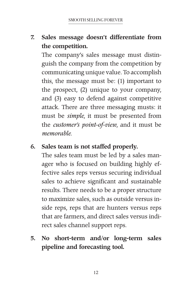## 7. Sales message doesn't differentiate from the competition.

The company's sales message must distinguish the company from the competition by communicating unique value. To accomplish this, the message must be: (1) important to the prospect, (2) unique to your company, and (3) easy to defend against competitive attack. There are three messaging musts: it must be *simple*, it must be presented from the *customer's point-of-view*, and it must be *memorable*.

#### 6. Sales team is not staffed properly.

The sales team must be led by a sales manager who is focused on building highly effective sales reps versus securing individual sales to achieve significant and sustainable results. There needs to be a proper structure to maximize sales, such as outside versus inside reps, reps that are hunters versus reps that are farmers, and direct sales versus indirect sales channel support reps.

5. No short-term and/or long-term sales pipeline and forecasting tool.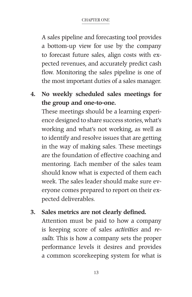A sales pipeline and forecasting tool provides a bottom-up view for use by the company to forecast future sales, align costs with expected revenues, and accurately predict cash flow. Monitoring the sales pipeline is one of the most important duties of a sales manager.

## 4. No weekly scheduled sales meetings for the group and one-to-one.

These meetings should be a learning experience designed to share success stories, what's working and what's not working, as well as to identify and resolve issues that are getting in the way of making sales. These meetings are the foundation of effective coaching and mentoring. Each member of the sales team should know what is expected of them each week. The sales leader should make sure everyone comes prepared to report on their expected deliverables.

#### 3. Sales metrics are not clearly defined.

Attention must be paid to how a company is keeping score of sales *activities* and *results*. This is how a company sets the proper performance levels it desires and provides a common scorekeeping system for what is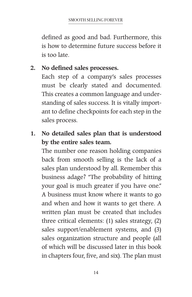defined as good and bad. Furthermore, this is how to determine future success before it is too late.

#### 2. No defined sales processes.

Each step of a company's sales processes must be clearly stated and documented. This creates a common language and understanding of sales success. It is vitally important to define checkpoints for each step in the sales process.

### 1. No detailed sales plan that is understood by the entire sales team.

The number one reason holding companies back from smooth selling is the lack of a sales plan understood by all. Remember this business adage? "The probability of hitting your goal is much greater if you have one." A business must know where it wants to go and when and how it wants to get there. A written plan must be created that includes three critical elements: (1) sales strategy, (2) sales support/enablement systems, and (3) sales organization structure and people (all of which will be discussed later in this book in chapters four, five, and six). The plan must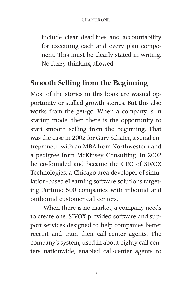include clear deadlines and accountability for executing each and every plan component. This must be clearly stated in writing. No fuzzy thinking allowed.

### Smooth Selling from the Beginning

Most of the stories in this book are wasted opportunity or stalled growth stories. But this also works from the get-go. When a company is in startup mode, then there is the opportunity to start smooth selling from the beginning. That was the case in 2002 for Gary Schafer, a serial entrepreneur with an MBA from Northwestern and a pedigree from McKinsey Consulting. In 2002 he co-founded and became the CEO of SIVOX Technologies, a Chicago area developer of simulation-based eLearning software solutions targeting Fortune 500 companies with inbound and outbound customer call centers.

When there is no market, a company needs to create one. SIVOX provided software and support services designed to help companies better recruit and train their call-center agents. The company's system, used in about eighty call centers nationwide, enabled call-center agents to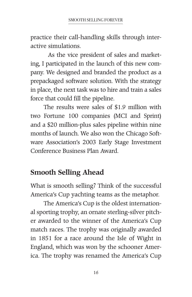practice their call-handling skills through interactive simulations.

As the vice president of sales and marketing, I participated in the launch of this new company. We designed and branded the product as a prepackaged software solution. With the strategy in place, the next task was to hire and train a sales force that could fill the pipeline.

The results were sales of \$1.9 million with two Fortune 100 companies (MCI and Sprint) and a \$20 million-plus sales pipeline within nine months of launch. We also won the Chicago Software Association's 2003 Early Stage Investment Conference Business Plan Award.

# Smooth Selling Ahead

What is smooth selling? Think of the successful America's Cup yachting teams as the metaphor.

The America's Cup is the oldest international sporting trophy, an ornate sterling-silver pitcher awarded to the winner of the America's Cup match races. The trophy was originally awarded in 1851 for a race around the Isle of Wight in England, which was won by the schooner America. The trophy was renamed the America's Cup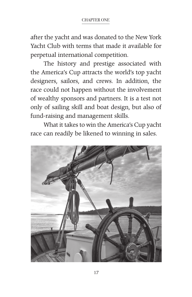after the yacht and was donated to the New York Yacht Club with terms that made it available for perpetual international competition.

The history and prestige associated with the America's Cup attracts the world's top yacht designers, sailors, and crews. In addition, the race could not happen without the involvement of wealthy sponsors and partners. It is a test not only of sailing skill and boat design, but also of fund-raising and management skills.

What it takes to win the America's Cup yacht race can readily be likened to winning in sales.

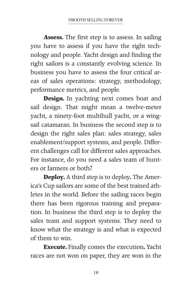**Assess.** The first step is to assess. In sailing you have to assess if you have the right technology and people. Yacht design and finding the right sailors is a constantly evolving science. In business you have to assess the four critical areas of sales operations: strategy, methodology, performance metrics, and people.

**Design.** In yachting next comes boat and sail design. That might mean a twelve-meter yacht, a ninety-foot multihull yacht, or a wingsail catamaran. In business the second step is to design the right sales plan: sales strategy, sales enablement/support systems, and people. Different challenges call for different sales approaches. For instance, do you need a sales team of hunters or farmers or both?

**Deploy.** A third step is to deploy**.** The America's Cup sailors are some of the best trained athletes in the world. Before the sailing races begin there has been rigorous training and preparation. In business the third step is to deploy the sales team and support systems. They need to know what the strategy is and what is expected of them to win.

**Execute.** Finally comes the execution**.** Yacht races are not won on paper, they are won in the